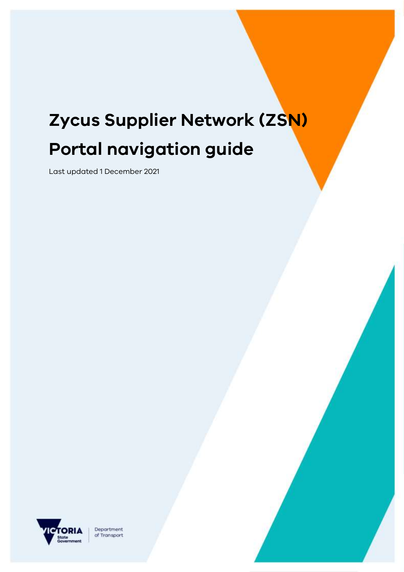# **Zycus Supplier Network (ZSN) Portal navigation guide**

Last updated 1 December 2021



Department of Transport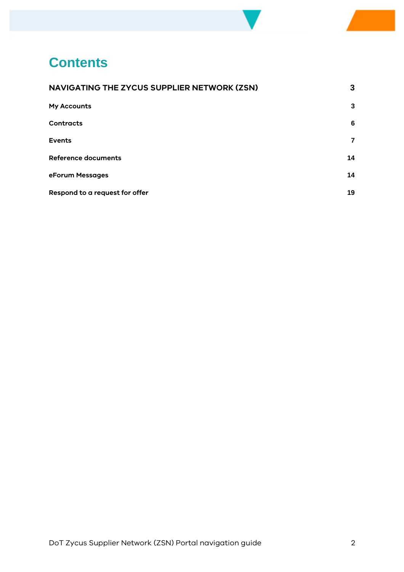## **Contents**

| NAVIGATING THE ZYCUS SUPPLIER NETWORK (ZSN) | 3  |
|---------------------------------------------|----|
| <b>My Accounts</b>                          | 3  |
| <b>Contracts</b>                            | 6  |
| <b>Events</b>                               | 7  |
| <b>Reference documents</b>                  | 14 |
| eForum Messages                             | 14 |
| Respond to a request for offer              | 19 |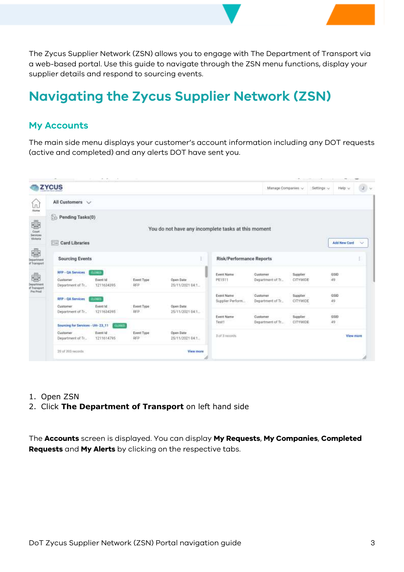The Zycus Supplier Network (ZSN) allows you to engage with The Department of Transport via a web-based portal. Use this guide to navigate through the ZSN menu functions, display your supplier details and respond to sourcing events.

### <span id="page-2-0"></span>**Navigating the Zycus Supplier Network (ZSN)**

#### <span id="page-2-1"></span>**My Accounts**

The main side menu displays your customer's account information including any DOT requests (active and completed) and any alerts DOT have sent you.

|                                             | <b>ZYCUS</b>                                          |                                        |                          |                                                     |                                 | Manage Companies: v                              |                             | Settings >>    | Help v              | $J \rightarrow \infty$ |
|---------------------------------------------|-------------------------------------------------------|----------------------------------------|--------------------------|-----------------------------------------------------|---------------------------------|--------------------------------------------------|-----------------------------|----------------|---------------------|------------------------|
| ln<br>Home                                  | All Customers V                                       |                                        |                          |                                                     |                                 |                                                  |                             |                |                     |                        |
| 靈<br>Court<br>Services                      | <b>Fe</b> Pending Tasks(0)                            |                                        |                          | You do not have any incomplete tasks at this moment |                                 |                                                  |                             |                |                     |                        |
| Victoria                                    | <b>Card Libraries</b><br>指演                           |                                        |                          |                                                     |                                 |                                                  |                             |                | <b>Add New Card</b> | $\sim$                 |
| 鄽<br>Department<br>of Transport             | <b>Sourcing Events</b>                                |                                        |                          | ŧ                                                   | <b>Risk/Performance Reports</b> |                                                  |                             |                |                     |                        |
| 靈<br>Department<br>of Transport<br>Pre Prod | RFP - QA Services<br>Customer<br>Department of Tr     | <b>GONES</b><br>Event Id<br>1211634395 | Event Type<br><b>RFP</b> | Open Date<br>25/11/2021 04:1.                       | <b>Event Name</b><br>PE1511     | Customer<br>Department of Tr.                    | Supplier<br><b>CITYWIDE</b> |                | GSID<br>49          |                        |
|                                             | RFP - QA Services<br>Customer                         | 0.093<br>Event td                      | Event Type:              | Open Date                                           | Event Name<br>Supplier Perform  | Customer<br>Department of Tr.                    | Supplier<br>CITYWIDE        | $\frac{49}{2}$ | esip                |                        |
|                                             | Department of Tr<br>Sourcing for Services - UH- 23_11 | 1211634395<br><b>CLOWED</b>            | RFP.                     | 25/11/2021 04:1                                     | <b>Event Name</b><br>Test1      | With each Enter<br>Customer<br>Department of Tr. | <b>Supplier</b><br>CITYWIDE |                | GSID<br>49          |                        |
|                                             | Customer<br>Department of Tr.,                        | Event Id<br>1211614795                 | Event Type<br><b>RFP</b> | Open Date<br>25/11/2021 04:1.                       | 3 of 3 records                  |                                                  |                             |                | View more           |                        |
|                                             | 20 of 393 records                                     |                                        |                          | View more                                           |                                 |                                                  |                             |                |                     |                        |

- 1. Open ZSN
- 2. Click **The Department of Transport** on left hand side

The **Accounts** screen is displayed. You can display **My Requests**, **My Companies**, **Completed Requests** and **My Alerts** by clicking on the respective tabs.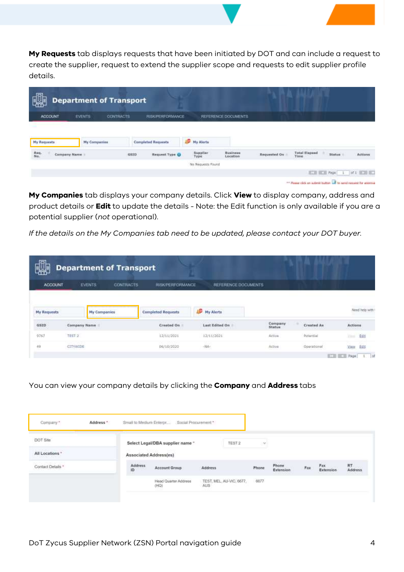**My Requests** tab displays requests that have been initiated by DOT and can include a request to create the supplier, request to extend the supplier scope and requests to edit supplier profile details.

| 思              |               | <b>Department of Transport</b> |                           |     |                   |                             |              |                                                                  |                                  |         |
|----------------|---------------|--------------------------------|---------------------------|-----|-------------------|-----------------------------|--------------|------------------------------------------------------------------|----------------------------------|---------|
| <b>ACCOUNT</b> | <b>EVENTS</b> | <b>CONTRACTS</b>               | <b>RISK/PERFORMANCE</b>   |     |                   | REFERENCE DOCUMENTS         |              |                                                                  |                                  |         |
| My Requests    | My Companies  |                                | <b>Completed Requests</b> | цg. | My Alerta         |                             |              |                                                                  |                                  |         |
| Req.<br>No.    | Company Name  | GSID.                          | Request Type O            |     | Supplier<br>Type  | <b>Business</b><br>Location | Requested On | <b>Total Elapsed</b><br>Time                                     | Status:                          | Actions |
|                |               |                                |                           |     | No Requests Found |                             |              |                                                                  |                                  |         |
|                |               |                                |                           |     |                   |                             |              |                                                                  | <b>ECH ECH Peps</b> 1 0f1 ECH EC |         |
|                |               |                                |                           |     |                   |                             |              | ** Please click on auterit button a to send request for approval |                                  |         |

**My Companies** tab displays your company details. Click **View** to display company, address and product details or **Edit** to update the details - Note: the Edit function is only available if you are a potential supplier (*not* operational).

*If the details on the My Companies tab need to be updated, please contact your DOT buyer.*

| J                    | <b>Department of Transport</b> |                  |                               |                       |                           |                                  |                             |
|----------------------|--------------------------------|------------------|-------------------------------|-----------------------|---------------------------|----------------------------------|-----------------------------|
| <b>ACCOUNT</b>       | <b>EVENTS</b>                  | <b>CONTRACTS</b> | RISK/PERFORMANCE              | REFERENCE DOCUMENTS   |                           |                                  |                             |
| <b>My Requests</b>   | <b>My Companies</b>            |                  | <b>Completed Requests</b>     | My Alerts             |                           |                                  | Need help with              |
| <b>COMPA</b><br>GSID | Company Name                   |                  | Created On                    | <b>Last Edited On</b> | Company<br>Status         | Created As<br><b>TARY IS THE</b> | Actions                     |
| 9767                 | TEST 2                         |                  | 12/11/2021                    | 12/11/2021            | Active                    | Potential                        | Edit<br>Third."             |
| 49<br>œ              | CITYWIDE                       |                  | <b>CONTRACT</b><br>06/10/2020 | $+144-$               | Active<br><b>THE CAST</b> | Operational                      | 五症<br><b>Vison</b>          |
|                      |                                |                  |                               |                       |                           |                                  | <b>ICE ICE Page</b><br>$-1$ |

You can view your company details by clicking the **Company** and **Address** tabs

| Company."                                               | Address " |                                                       | Small to Medium Enterpr Social Procurement * |         |                          |           |                                             |      |                                         |                         |
|---------------------------------------------------------|-----------|-------------------------------------------------------|----------------------------------------------|---------|--------------------------|-----------|---------------------------------------------|------|-----------------------------------------|-------------------------|
| DOT Site                                                |           |                                                       | Select Legal/DBA supplier name "             |         | TEST 2                   | <b>SY</b> |                                             |      |                                         |                         |
| All Locations *                                         |           | Associated Address(es)                                | and the contract state of the contracts      |         |                          |           |                                             |      |                                         |                         |
| Contact Details *<br>THE R. P. LEWIS CO., LANSING MICH. |           | <b>ANTIQUES ANTIQUES</b><br><b>Address</b><br>ID<br>œ | Account Group                                | Address |                          | Phone:    | Phone<br>Extension<br><b>SALE AND STATE</b> | Fax: | Fax.<br>Extension<br><b>PERMIT LOOP</b> | RT<br>Address<br>,,,,,, |
|                                                         |           |                                                       | Head Quarter Address<br>(HQ)                 | AUS     | TEST, MEL. AU-VIC, 6677. | 6677      |                                             |      |                                         |                         |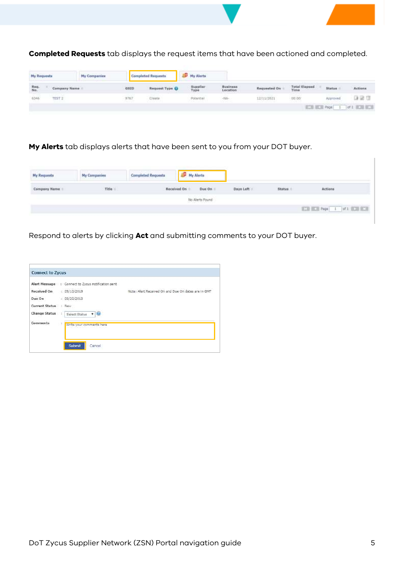

**Completed Requests** tab displays the request items that have been actioned and completed.

| My Requests |                    | <b>My Companies</b> |             | <b>Completed Requests</b> | <sup>C</sup> My Alerta |                              |              |                              |          |                                          |
|-------------|--------------------|---------------------|-------------|---------------------------|------------------------|------------------------------|--------------|------------------------------|----------|------------------------------------------|
| Req.<br>No. | Company Name       |                     | <b>GSID</b> | Request Type ()           | Supplier<br>Type       | <b>Business</b><br>Location  | Requested On | <b>Total Elapsed</b><br>Time | Status:  | Actions                                  |
| 6346        | anyone e<br>TIST 2 |                     | 9767        | Creata                    | Potential              | <b>Contractor</b><br>$-145-$ | 12/11/2021   | 00:00                        | Approved | 대평 대                                     |
|             |                    |                     |             |                           |                        |                              |              |                              |          | <b>EXTERNAL Property 1 of 2 BOX REAL</b> |

**My Alerts** tab displays alerts that have been sent to you from your DOT buyer.

| <b>My Requests</b> | <b>My Companies</b> | <b>Completed Requests</b> | My Alerts       |           |        |         |
|--------------------|---------------------|---------------------------|-----------------|-----------|--------|---------|
| Company Name       | Title               | Received On               | Due On          | Days Left | Status | Actions |
|                    |                     |                           | No Alerts Found |           |        |         |
|                    |                     |                           |                 |           |        |         |

Respond to alerts by clicking **Act** and submitting comments to your DOT buyer.

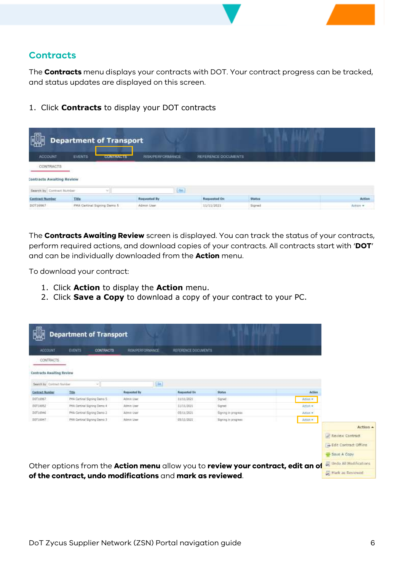#### <span id="page-5-0"></span>**Contracts**

The **Contracts** menu displays your contracts with DOT. Your contract progress can be tracked, and status updates are displayed on this screen.

1. Click **Contracts** to display your DOT contracts

| $\overline{B}$                         |                                         | <b>Department of Transport</b> |                         |    |                     |                |          |
|----------------------------------------|-----------------------------------------|--------------------------------|-------------------------|----|---------------------|----------------|----------|
| ACCOUNT                                | <b>IR PARTIES LIE</b><br><b>EVENTS:</b> | <b>CONTRACTS</b>               | <b>RISK/PERFORMANCE</b> |    | REFERENCE DOCUMENTS |                |          |
| <b>CONTRACTS</b>                       |                                         |                                |                         |    |                     |                |          |
| <b>Contracts Awaiting Review</b>       |                                         |                                |                         |    |                     |                |          |
| Search by Contract fairniser           |                                         | wil                            |                         | Ga |                     |                |          |
| <b>Contract Number</b>                 | Titla                                   |                                | Requested By            |    | Rogoested On        | <b>Stabus</b>  | Action   |
| DCT16967<br>and completely at an extra | PHA Certinal Signing Dema 5             |                                | Admin User              |    | 11/11/2021          | Signed<br>---- | Action * |

The **Contracts Awaiting Review** screen is displayed. You can track the status of your contracts, perform required actions, and download copies of your contracts. All contracts start with '**DOT**' and can be individually downloaded from the **Action** menu.

To download your contract:

- 1. Click **Action** to display the **Action** menu.
- 2. Click **Save a Copy** to download a copy of your contract to your PC.

| <b>ACCOUNT</b>                   | <b>EVENTS</b><br><b>CONTRACTS</b> | <b>RISKPEREORMANCE</b> | <b>REFERENCE DOCUMENTS</b> |                                                                                  |           |                              |
|----------------------------------|-----------------------------------|------------------------|----------------------------|----------------------------------------------------------------------------------|-----------|------------------------------|
| CONTRACTS.                       |                                   |                        |                            |                                                                                  |           |                              |
| <b>Contracts Awaiting Review</b> |                                   |                        |                            |                                                                                  |           |                              |
| Search by Contract Number        |                                   | m                      |                            |                                                                                  |           |                              |
| <b>Contract Humber</b>           | <b>Title</b>                      | <b>Requested By</b>    | Required On                | <b>Status</b>                                                                    | Action    |                              |
| DST16867                         | PHA Curtinal Signing Denvo S      | Admin User             | 11/11/2021                 | Signed                                                                           | Action #  |                              |
| DDT18952                         | PHA Certinal Signing Cerno 4      | Admin User             | 11/11/1021                 | Signet                                                                           | Arrion *  |                              |
| DOT16946                         | PHA Certinal Signing Demo 2       | Atmin User             | 05/11/2021                 | Signing in progress                                                              | Active +  |                              |
| DDT16047                         | PHA Certinal Signing Derro 3      | Atmin User             | 05/11/2021                 | Signing In jarograms                                                             | Artisti # |                              |
|                                  |                                   |                        |                            |                                                                                  |           | Action +                     |
|                                  |                                   |                        |                            |                                                                                  |           | <b>Review Contract</b>       |
|                                  |                                   |                        |                            |                                                                                  |           | <b>Edit Contract Offline</b> |
|                                  |                                   |                        |                            |                                                                                  |           | Stive A Copy                 |
|                                  |                                   |                        |                            | Other options from the Action menu allow you to review your contract, edit an of |           | De Undo All Modifications    |
|                                  |                                   |                        |                            |                                                                                  |           |                              |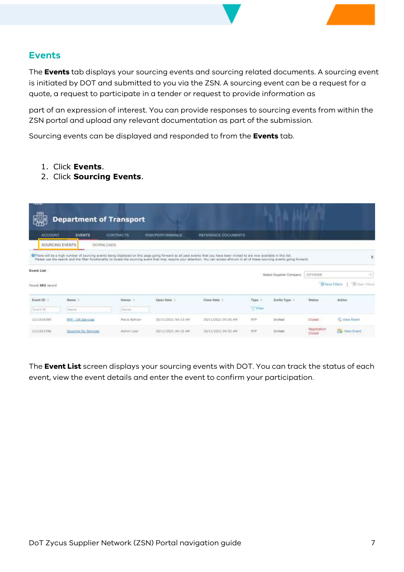#### <span id="page-6-0"></span>**Events**

The **Events** tab displays your sourcing events and sourcing related documents. A sourcing event is initiated by DOT and submitted to you via the ZSN. A sourcing event can be a request for a quote, a request to participate in a tender or request to provide information as

part of an expression of interest. You can provide responses to sourcing events from within the ZSN portal and upload any relevant documentation as part of the submission.

Sourcing events can be displayed and responded to from the **Events** tab.

- 1. Click **Events**.
- 2. Click **Sourcing Events**.

| Please use the search and the fiber functionality to locate the sourcing event that may require your attention. You can access efforum in all of these sourcing events going forward. |                        |
|---------------------------------------------------------------------------------------------------------------------------------------------------------------------------------------|------------------------|
|                                                                                                                                                                                       |                        |
|                                                                                                                                                                                       | x                      |
|                                                                                                                                                                                       |                        |
|                                                                                                                                                                                       |                        |
|                                                                                                                                                                                       |                        |
| CITYWIDE                                                                                                                                                                              | $\mathcal{P}$          |
| <b>B Save Filters</b>                                                                                                                                                                 | <b>Billian Filters</b> |
| Status                                                                                                                                                                                | Action                 |
|                                                                                                                                                                                       |                        |
| Climad                                                                                                                                                                                | Wew Event              |
| Negotiation<br>Closed                                                                                                                                                                 | <b>Ed View Event</b>   |
|                                                                                                                                                                                       |                        |

The **Event List** screen displays your sourcing events with DOT. You can track the status of each event, view the event details and enter the event to confirm your participation.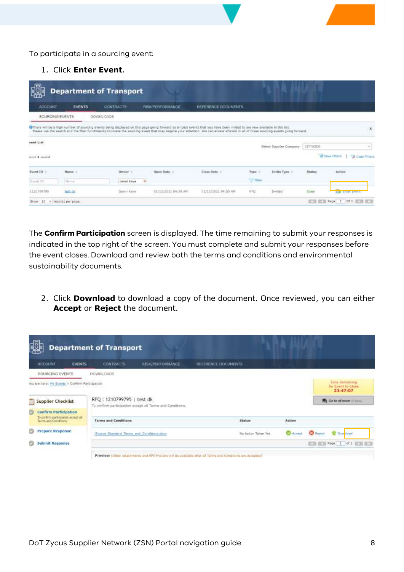To participate in a sourcing event:

1. Click **Enter Event**.

| <b>ACCOUNT</b>             | <b>EVENTS</b>   | CONTRACTE              | RIBK/PERFORMANCE | REFERENCE DOCUMENTS                                                                                                                                                                                                                                                                                                                                                    |          |                         |          |                                                      |
|----------------------------|-----------------|------------------------|------------------|------------------------------------------------------------------------------------------------------------------------------------------------------------------------------------------------------------------------------------------------------------------------------------------------------------------------------------------------------------------------|----------|-------------------------|----------|------------------------------------------------------|
|                            | SOURCING EVENTS | DOWNLOADS              |                  |                                                                                                                                                                                                                                                                                                                                                                        |          |                         |          |                                                      |
|                            |                 |                        |                  | O There will be a high number of sourcing events being displayed on this page going forwant as all past events that you have been invited to are now available in this list.<br>Flease use the search and the filter functionality to locate the sourcing event that may require your attention. You can access efforum in all of these sourcing events going forward. |          |                         |          |                                                      |
| vent List                  |                 |                        |                  |                                                                                                                                                                                                                                                                                                                                                                        |          |                         |          |                                                      |
|                            |                 |                        |                  |                                                                                                                                                                                                                                                                                                                                                                        |          | Select Supplier Company | CITYWIDE | m.                                                   |
|                            |                 |                        |                  |                                                                                                                                                                                                                                                                                                                                                                        |          |                         |          | <b>B Save Fitters</b><br><b>S&amp; Clase Filters</b> |
| cuted 1 record<br>Event ID | Name in         | Owner :                | Open Date:       | Close Date:                                                                                                                                                                                                                                                                                                                                                            | Type.    | <b>Invite Type</b>      | Status:  | Action.                                              |
| Hyers 1D                   | Marrie          | danni kaye<br>$\alpha$ |                  |                                                                                                                                                                                                                                                                                                                                                                        | V Filter |                         |          |                                                      |

The **Confirm Participation** screen is displayed. The time remaining to submit your responses is indicated in the top right of the screen. You must complete and submit your responses before the event closes. Download and review both the terms and conditions and environmental sustainability documents.

2. Click **Download** to download a copy of the document. Once reviewed, you can either **Accept** or **Reject** the document.

| 厄                                                            | <b>Department of Transport</b>              |                                                                                                           |                     |                                          |                 |                    |                                                  |
|--------------------------------------------------------------|---------------------------------------------|-----------------------------------------------------------------------------------------------------------|---------------------|------------------------------------------|-----------------|--------------------|--------------------------------------------------|
| ACCOUNT<br><b>EVENTS</b>                                     | <b>CONTRACTS</b>                            | <b>RISK/PERFORMANCE</b>                                                                                   | REFERENCE DOCUMENTS |                                          |                 |                    |                                                  |
| SOURCING EVENTS                                              | DOWNLOADS                                   |                                                                                                           |                     |                                          |                 |                    |                                                  |
| You are here: He Events > Contint Participation              |                                             |                                                                                                           |                     |                                          |                 |                    | Time Remaining<br>for Event to Cluse<br>23:47:07 |
| <b>Supplier Checklist</b><br>≡                               | RFQ: 1210799795   test dk                   | To confirm participation accept all Terms and Conditions.                                                 |                     |                                          |                 |                    | Go to a Forum illiance                           |
| <b>Confirm Participation</b><br>œ                            |                                             |                                                                                                           |                     |                                          |                 |                    |                                                  |
| To confirm participation accept all<br>Terms and Conditions. | <b>Terms and Conditions</b>                 |                                                                                                           |                     | <b>Status</b>                            | Action          |                    |                                                  |
| <b>Prepare Response</b>                                      | (Source Standard Terms and Conditions.docx) |                                                                                                           |                     | No Action Taken Yet<br>1950 PM & TANKING | <b>C</b> Acrest | <b>C.S.</b> Report | <b>Download</b>                                  |
| Submit Response                                              |                                             |                                                                                                           |                     |                                          |                 |                    | <b>ETH BEST Page   1   of 1   87   87   8</b>    |
|                                                              |                                             | Preview (Other Attachments and RFK Preview will be available after all Terms and Conditions are accepted) |                     |                                          |                 |                    |                                                  |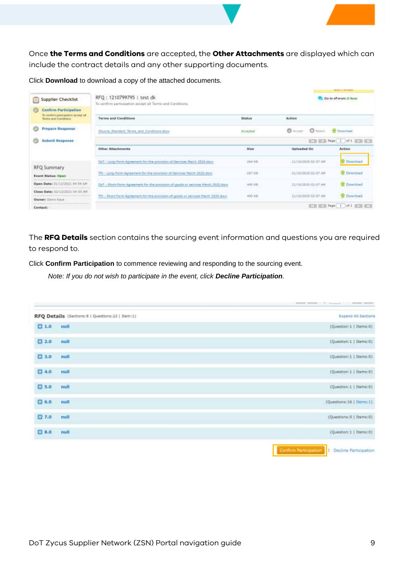Once **the Terms and Conditions** are accepted, the **Other Attachments** are displayed which can include the contract details and any other supporting documents.

Click **Download** to download a copy of the attached documents.

|                                                                                             |                                                                                        |               |                                   | --------                               |
|---------------------------------------------------------------------------------------------|----------------------------------------------------------------------------------------|---------------|-----------------------------------|----------------------------------------|
| Supplier Checklist                                                                          | RFQ: 1210799795   test dk<br>To confirm participation accept all Terms and Conditions. |               |                                   | Go to eForum (0 New)                   |
| <b>Confirm Participation</b><br>To continn participation accept all<br>Terms and Conditions | <b>Terms and Conditions</b><br><b>I ARRIVED AND ACCOUNTS OF A</b>                      | <b>Status</b> | Action                            |                                        |
| <b>Prepare Response</b>                                                                     | (Source Standard Terms and Conditions doca)                                            | Accepted      | <b>O</b> Account<br><b>O</b> Norm | <b>Download</b>                        |
| Submit Response<br><b>Co</b>                                                                |                                                                                        |               |                                   | <b>ETH ETH Fage 1 of 1 ETH ETH</b>     |
|                                                                                             | Other Attachments                                                                      | Size:         | <b>Uploaded On</b>                | Action                                 |
|                                                                                             | DoT - Long-Form-Agreement-for-the-provision-of-Services March 2020 days                | 264 KS        | 21/18/2020 02:07 AM               | Download                               |
| RFQ Summary<br><b>Event Status: Open</b>                                                    | TTV + Long-Form-Agreement-for-the-provision-of-Services March 2020 dock                | 267.830       | 21/10/2020 02:07 AM               | <b>E</b> Download                      |
| Open Date: 01/12/2021 04:55 AM                                                              | Doff - Short-Form-Agreement-for-the-provision-of-goods or services March 2020.docx     | -490 HB       | 31/10/2020 02:07 AM               | <b>Committed</b>                       |
| Close Date: (12/12/2021 04:55 AM)                                                           |                                                                                        | <b>KARATA</b> |                                   |                                        |
| <b>Owner:</b> Daniel Kaye                                                                   | TTV - Short-Form-Agreement-for-the-provision-of-goods or services March 2020 docx      | 490 KB        | 21/10/2020 02:07 AM               | <b>Download</b>                        |
| Contact:                                                                                    |                                                                                        |               |                                   | <b>BEEN RADE: 1   of 1   BEEN BEEN</b> |

The **RFQ Details** section contains the sourcing event information and questions you are required to respond to.

Click **Confirm Participation** to commence reviewing and responding to the sourcing event.

*Note: If you do not wish to participate in the event, click Decline Participation.*

|        | RFQ Details (Sections: B   Questions: 22   Item: 1) | <b>Expand All Sections</b>                                               |
|--------|-----------------------------------------------------|--------------------------------------------------------------------------|
| 1.0    | null                                                | $(Question; 1  $ Thems:0)                                                |
| 2.0    | null                                                | (Question:1   Items:0)                                                   |
| □ 3.0  | null                                                | (Question:1   Items:0)                                                   |
| 0.40   | null                                                | $\langle\texttt{Question:1}\downarrow\texttt{It} \texttt{orrs:0}\rangle$ |
| 05.0   | null                                                | (Question:1   Items:0)                                                   |
| 0.60   | null                                                | (Questions:16   Items:1)                                                 |
| ED 7.0 | null                                                | (Questions:0   Items:0)                                                  |
| 9.0    | null                                                | (Question:1   Items:0)                                                   |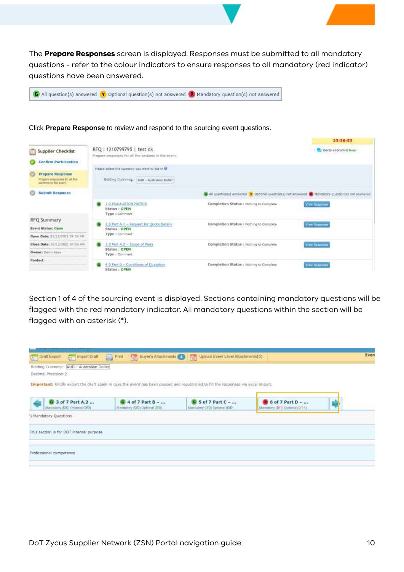The **Prepare Responses** screen is displayed. Responses must be submitted to all mandatory questions - refer to the colour indicators to ensure responses to all mandatory (red indicator) questions have been answered.



#### 23:36:53 RFQ: 1210799795 | test dk Supplier Checklist Go to eForum (0 New) Prepare responses for all the sections in the event. Confirm Participation Please select the currency you want to bid in @  $\sqrt{2}$ **Prepare Response** Prepare responses for all the Bidding Currency: | AUD - Australian Dollar: Submit Response G All question(s) answered (Y Optional question(s) not answered (B) Handatory question(s) not answered **1.0 EVALUATION MATRIX** Completion Status : Nathing to Complete **View Response** Status : OPEN Type : Com **RFQ Summary**  $\overline{0}$  2.0 Part A.1 - Request for Quote Datails<br>Status : OPEN **WA BASEDINA** Completion Status : Nothing to Complete **Event Status: Open** Type : Commant Open Date: 01/13/2021 04:59 AM Close Date: 02/12/2021 04:55 AM 3.0 Part A.2 - Scope of Work Completion Status : Nothing to Complete **Gew.floappinser** Status / OPEN Owner: Carri Kaye Type : Con Contact:  $\frac{4.0 \text{ Part B} - Conditions of Quotation}{{\color{red}Stations}}$ Completion Status : Nothing to Complete View Response

Click **Prepare Response** to review and respond to the sourcing event questions.

Section 1 of 4 of the sourcing event is displayed. Sections containing mandatory questions will be flagged with the red mandatory indicator. All mandatory questions within the section will be flagged with an asterisk (\*).

|                                             |                                |                                                                                                                                    |                                | Even |
|---------------------------------------------|--------------------------------|------------------------------------------------------------------------------------------------------------------------------------|--------------------------------|------|
|                                             |                                | Draft Export Draft Draft Draft Print   Buyer's Attachments O   Upload Event Level Attachments(0)                                   |                                |      |
| Bidding Currency: (AUD - Australian Dollar) |                                |                                                                                                                                    |                                |      |
| Decimal Precision:2.                        |                                |                                                                                                                                    |                                |      |
|                                             |                                | Important: Kindly export the draft again in case the event has been paused and republished to fill the responses via excel import. |                                |      |
|                                             |                                |                                                                                                                                    |                                |      |
| <b>G</b> 3 of 7 Part A.2                    | <b>Q</b> 4 of 7 Part B -       | $G$ 5 of 7 Part C -                                                                                                                | $\bullet$ 6 of 7 Part D -      |      |
| Mandalery (O/O) Optional (O/O)              | Mandatony (G/O) Optional (G/O) | Mandatory (G/D) Optional (G/D)                                                                                                     | Mandatory (B/1) Optonal (G/34) |      |
| ") Mandatory Questions                      |                                |                                                                                                                                    |                                |      |
|                                             |                                |                                                                                                                                    |                                |      |
| This section is for DOT internal purpose    |                                |                                                                                                                                    |                                |      |
|                                             |                                |                                                                                                                                    |                                |      |
|                                             |                                |                                                                                                                                    |                                |      |
| Professional competence                     |                                |                                                                                                                                    |                                |      |
|                                             |                                |                                                                                                                                    |                                |      |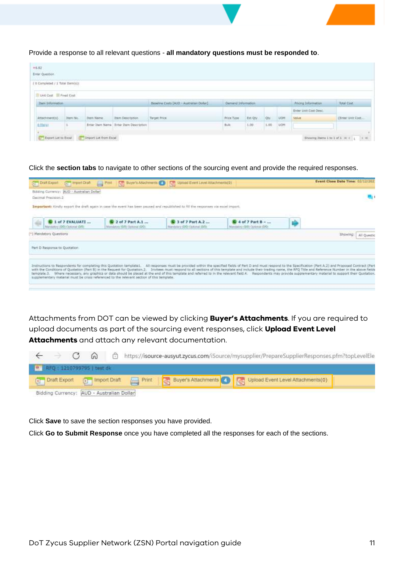

Provide a response to all relevant questions - **all mandatory questions must be responded to**.

| Enter Question                                                                                                                                        |          |          |                                                                |               |            |         |    |                   |                              |                    |
|-------------------------------------------------------------------------------------------------------------------------------------------------------|----------|----------|----------------------------------------------------------------|---------------|------------|---------|----|-------------------|------------------------------|--------------------|
| the purchase of the configuration and and a the control of the pro-<br>( B Completed / 1 Total Ibern(s))<br>2021년 12월 12월 12일 12일 12일 12월 12일 12월 12일 |          |          |                                                                |               |            |         |    |                   |                              |                    |
| Unit Cost Ill Final Cost                                                                                                                              |          |          |                                                                |               |            |         |    |                   |                              |                    |
| Hem Information                                                                                                                                       |          |          | Demand Information<br>Baseline Costs (AUD - Australian Dollar) |               |            |         |    | Anong Information |                              |                    |
|                                                                                                                                                       |          |          |                                                                |               |            |         |    |                   |                              | Total Cint         |
|                                                                                                                                                       |          |          |                                                                |               |            |         |    |                   | <b>Enter Unit Cost Desc.</b> |                    |
| Attachment(s)                                                                                                                                         | Trem No. | Dam Name | <b>Trem Description</b>                                        | Thront Price. | Price Type | Est Qty | Qb | <b>LION</b>       | <b>Value</b>                 | (Errer Unit Cost.) |

#### Click the **section tabs** to navigate to other sections of the sourcing event and provide the required responses.

|                                                                                                                                                                                                                        |                                                              |                                                                                                                                    |                                                           | Bidding Currency: WJD - Australian Dollar                  |
|------------------------------------------------------------------------------------------------------------------------------------------------------------------------------------------------------------------------|--------------------------------------------------------------|------------------------------------------------------------------------------------------------------------------------------------|-----------------------------------------------------------|------------------------------------------------------------|
|                                                                                                                                                                                                                        |                                                              |                                                                                                                                    |                                                           | Decimal Prezision:2                                        |
|                                                                                                                                                                                                                        |                                                              | Important: Kindly export the draft again in case the event has been peused and republished to fill the responses via excel import. |                                                           |                                                            |
|                                                                                                                                                                                                                        | <b>E</b> 4 of 7 Part B -<br>Manutatory (D/O) Explorer (D/O): | <b>B</b> 3 of 7 Part A.2<br>Mandatory (GRS) Optional (D/D)                                                                         | <b>E</b> 2 of 7 Part A.1<br>Mandatory (0/0) Dohorar (0/0) | <b>E</b> 1 of 7 EVALUATI<br>Mandalory (D/D) Optional (D/D) |
| <b>Showtno</b><br>All Questic                                                                                                                                                                                          |                                                              |                                                                                                                                    |                                                           | (*) Mandatory Questions                                    |
|                                                                                                                                                                                                                        |                                                              |                                                                                                                                    |                                                           |                                                            |
|                                                                                                                                                                                                                        |                                                              |                                                                                                                                    |                                                           | Part D Response to Quotation                               |
|                                                                                                                                                                                                                        |                                                              |                                                                                                                                    |                                                           |                                                            |
| Instructions to Respondents for completing this Quotation template1. All responses must be provided within the specified fields of Part D and must respond to the Specification (Part A.2) and Proposed Contract (Part |                                                              |                                                                                                                                    |                                                           |                                                            |

Attachments from DOT can be viewed by clicking **Buyer's Attachments**. If you are required to upload documents as part of the sourcing event responses, click **Upload Event Level Attachments** and attach any relevant documentation.

|  |                                           |  | C A bttps://isource-ausyut.zycus.com/iSource/mysupplier/PrepareSupplierResponses.pfm?topLevelEle  |
|--|-------------------------------------------|--|---------------------------------------------------------------------------------------------------|
|  | RFQ : 1210799795   test dk                |  |                                                                                                   |
|  |                                           |  | Draft Export [1] Import Draft [2] Print Buyer's Attachments De Upload Event Level Attachments (0) |
|  | Bidding Currency: AUD - Australian Dollar |  |                                                                                                   |

Click **Save** to save the section responses you have provided.

Click **Go to Submit Response** once you have completed all the responses for each of the sections.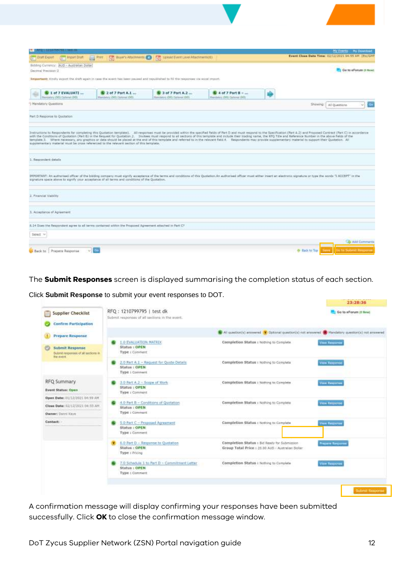| And I to 12 Year old Links Ten                                                                                                                                                                         |                                                                            |                                                            |                                                                                  | My Events My Download                                                                                                                                                                                                                                                                                                                                                                                                                                                                                                                                                                                                                                                                      |
|--------------------------------------------------------------------------------------------------------------------------------------------------------------------------------------------------------|----------------------------------------------------------------------------|------------------------------------------------------------|----------------------------------------------------------------------------------|--------------------------------------------------------------------------------------------------------------------------------------------------------------------------------------------------------------------------------------------------------------------------------------------------------------------------------------------------------------------------------------------------------------------------------------------------------------------------------------------------------------------------------------------------------------------------------------------------------------------------------------------------------------------------------------------|
| <b>ETT</b> Import Draft<br><b>BT Start Export</b>                                                                                                                                                      | $\equiv$ Pan                                                               | Strategie Machinese Co Upsald Event Level Atammenta(0)     |                                                                                  | Event Close Date Time: 02/12/2021 04:55 AM Etc/GMT                                                                                                                                                                                                                                                                                                                                                                                                                                                                                                                                                                                                                                         |
| Bidding Currency: AUD - Australian Dollar<br>Decimal Precision: 3<br>Torportant: Kindly export the dight again in case the event her been paused and republished to hil the response via excel report. |                                                                            |                                                            |                                                                                  | Go to eForum (D New)                                                                                                                                                                                                                                                                                                                                                                                                                                                                                                                                                                                                                                                                       |
| 1 of 7 EVALUATI<br>Mandalony (DIG) Optional (BIB)                                                                                                                                                      | $\blacksquare$ 2 of 7 Part A.1 $\ldots$<br>Marchalory (DRI) Destroye (DRI) | <b>B</b> 3 of 7 Part A.2<br>Mandatoni (DIO) Dollowal (DIO) | $\mathbf{B}$ 4 of 7 Part $\mathbf{B}$ + $\ldots$<br>Mandators (50) Dational (50) |                                                                                                                                                                                                                                                                                                                                                                                                                                                                                                                                                                                                                                                                                            |
| 1 Mandatory Questions                                                                                                                                                                                  |                                                                            |                                                            |                                                                                  | Showing:<br>All Queittions                                                                                                                                                                                                                                                                                                                                                                                                                                                                                                                                                                                                                                                                 |
| Part D Response to Quotation                                                                                                                                                                           |                                                                            |                                                            |                                                                                  |                                                                                                                                                                                                                                                                                                                                                                                                                                                                                                                                                                                                                                                                                            |
| supplementary material must be cross referenced to the relevant section of this template.<br>1. Respondent details                                                                                     |                                                                            |                                                            |                                                                                  | Immustions to Respondents for completing this Quotation template). All responses must be provided within the specified fields of Part D and must respond to the Specification (Part A.2) and Proposed Contract Civitat C) in a<br>with the Conditions of Quotistion (Part 8) in the Saquest for Quotation.2. Inviters must respond to all sections of this template and include their trading name, the SFQ Title and Reference Number in the above fields of th<br>template.3. Where necessary, any graphics or data should be placed at the end of this template and referred to in the relevent field 4. Respondents may provide supplementary material to support their Quotation. All |
| signature space above to signify your acceptance of all terms and conditions of the Quotation.                                                                                                         |                                                                            |                                                            |                                                                                  | IRPORTART: An authorized officer of the bidding company must eignly acceptance of the terms and conditions of this Quotation.An extitutional officer must either insert an electronic equature or type the sonds "I ACCEPT" in                                                                                                                                                                                                                                                                                                                                                                                                                                                             |
| 2. Financial Viability                                                                                                                                                                                 |                                                                            |                                                            |                                                                                  |                                                                                                                                                                                                                                                                                                                                                                                                                                                                                                                                                                                                                                                                                            |
| 3. Acceptance of Agreement.                                                                                                                                                                            |                                                                            |                                                            |                                                                                  |                                                                                                                                                                                                                                                                                                                                                                                                                                                                                                                                                                                                                                                                                            |
| 5.14 Steel the Septembent agree to all terms contained within the Proposed Agreement attached to Part CT                                                                                               |                                                                            |                                                            |                                                                                  |                                                                                                                                                                                                                                                                                                                                                                                                                                                                                                                                                                                                                                                                                            |
| Select v                                                                                                                                                                                               |                                                                            |                                                            |                                                                                  |                                                                                                                                                                                                                                                                                                                                                                                                                                                                                                                                                                                                                                                                                            |
| Back to Prepare Response<br>÷1                                                                                                                                                                         |                                                                            |                                                            |                                                                                  | O Add Comments<br><b>Back to: Top</b><br><b>Guine Sudarul Maxconn</b>                                                                                                                                                                                                                                                                                                                                                                                                                                                                                                                                                                                                                      |

The **Submit Responses** screen is displayed summarising the completion status of each section.

|                                                                           |                                                                                 |                                                                                                      | 23:28:36                |
|---------------------------------------------------------------------------|---------------------------------------------------------------------------------|------------------------------------------------------------------------------------------------------|-------------------------|
| <b>Supplier Checklist</b><br><b>Confirm Participation</b>                 | RFQ: 1210799795   test dk<br>Submit responses of all sections in the event.     |                                                                                                      | Go to afforum (9 New)   |
| <b>Prepare Response</b>                                                   |                                                                                 | Wr All question(s) enswered Y Optional question(s) not answered W Mandatory question(s) not answered |                         |
| <b>Submit Response</b><br>Submit responses of all sections in<br>Tie ment | <b>1.0 EVALUATION MATRIX</b><br>Status : OPEN<br>Type : Commant                 | Completion Status : Nothing to Complete                                                              | <b>View Response</b>    |
|                                                                           | 2.0 Part A.I - Request for Quote Details<br>Status : OPEN<br>Type : Comment     | Completion Status : Nothing to Complete                                                              | View Response           |
| RFQ Summary<br><b>Event Status: Open</b>                                  | 3.0 Part A.2 < Scope of Work<br>Status : OPEN<br>Type : Comment                 | Completion Status : Nothing to Complete                                                              | View Response           |
| Open Date: 01/12/2021 04:39 AM<br>Close Date: 02/12/2021 04:55 AM         | 4.0 Part B - Conditions of Quotation<br>Status: OPEN                            | Completion Status : Nothing to Complete                                                              | View Response           |
| Owner: Danni Kirye                                                        | Type I Comment                                                                  |                                                                                                      |                         |
| Contact:                                                                  | 5.0 Part C - Proposed Agreement<br>Status <sub>1</sub> OPEN<br>Type: Comment    | Completion Status : Nothing to Complete                                                              | View Response           |
|                                                                           | 6.0 Part D - Response to Quotation<br>Status: OPEN<br>Type : Pricing            | Completion Status : Bid Ready for Submission<br>Group Total Price : 20.00 AUD - Australian Dollar    | <b>Propure Response</b> |
|                                                                           | 7.0 Schodule 1 to Part D - Commitment Letter<br>Status : OPEN<br>Type : Comment | Completion Status I Nothing to Complete                                                              | View Response           |

Click **Submit Response** to submit your event responses to DOT.

A confirmation message will display confirming your responses have been submitted successfully. Click **OK** to close the confirmation message window.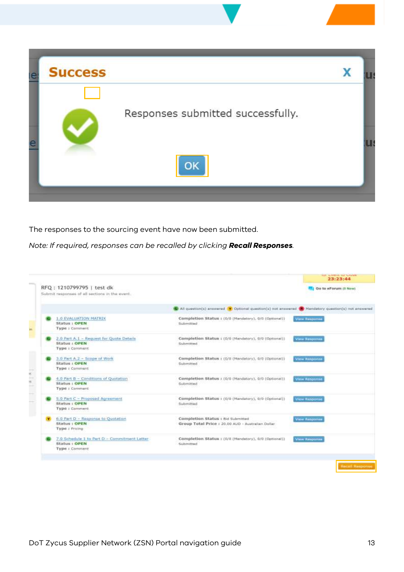

The responses to the sourcing event have now been submitted.

*Note: If required, responses can be recalled by clicking Recall Responses.*

| RFQ: 1210799795   test dk                      |                                                                                                      | Go to eForum (0 New) |
|------------------------------------------------|------------------------------------------------------------------------------------------------------|----------------------|
| Submit responses of all sections in the event. |                                                                                                      |                      |
|                                                | C All question(s) answered Y Optional question(s) not answered (N Mandatory question(s) not answered |                      |
| <b>1.0 EVALUATION MATRIX</b>                   | Completion Status : (0/0 (Mandatory), 0/0 (Optional))                                                | <b>View Basponne</b> |
| Status <sub>1</sub> OPEN                       | Submitted                                                                                            |                      |
| Type : Comment                                 |                                                                                                      |                      |
| 2.0 Part A.1 - Request for Quote Details       | Completion Status: (0/0 (Mandatory), 0/0 (Optional))                                                 | View Response        |
| Status : OPEN                                  | Submitted                                                                                            |                      |
| Type : Commant                                 |                                                                                                      |                      |
| 3.0 Part A.2 - Scope of Work                   | Completion Status : (0/0 (Mandatory), 0/0 (Optional))                                                | View Response        |
| <b>Status: OPEN</b>                            | <b>Submitted</b>                                                                                     |                      |
| <b>Type: Commant</b>                           |                                                                                                      |                      |
| 4.0 Part B - Conditions of Quotation           | Completion Status (0/0 (Mandatory), 0/0 (Optional))                                                  | View Response        |
| <b>Status: OPEN</b>                            | Submitted                                                                                            |                      |
| Type : Commant                                 |                                                                                                      |                      |
| S.O Part C - Proposed Agreement                | Completion Status : (0/0 (Mandatory), 0/0 (Optional))                                                | <b>View Response</b> |
| Status : OPEN                                  | Submitted                                                                                            |                      |
| Type : Comment                                 |                                                                                                      |                      |
| 6.0 Part D - Response to Quotation             | Completion Status : Bid Submitted                                                                    | <b>View Response</b> |
| <b>Status   OPEN</b>                           | Group Total Price : 20.00 AUD - Australian Dollar                                                    |                      |
| Type: Pricing                                  |                                                                                                      |                      |
| 7.0 Schedule 1 to Part D - Commitment Letter   | Completion Status : (0/0 (Mandatory), 0/0 (Optional))                                                | <b>View Response</b> |
| Status + OPEN                                  | Submitted                                                                                            |                      |
| Type : Comment                                 |                                                                                                      |                      |
|                                                |                                                                                                      |                      |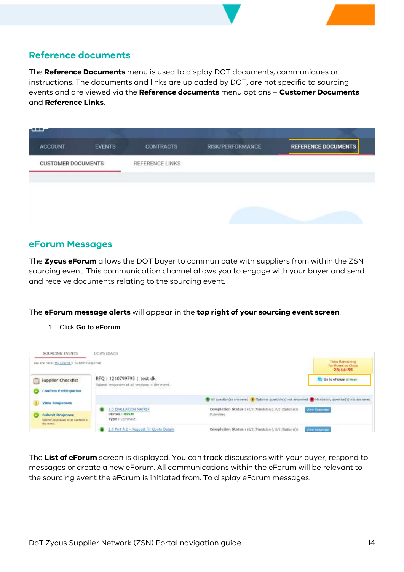#### <span id="page-13-0"></span>**Reference documents**

The **Reference Documents** menu is used to display DOT documents, communiques or instructions. The documents and links are uploaded by DOT, are not specific to sourcing events and are viewed via the **Reference documents** menu options – **Customer Documents** and **Reference Links**.



#### <span id="page-13-1"></span>**eForum Messages**

The **Zycus eForum** allows the DOT buyer to communicate with suppliers from within the ZSN sourcing event. This communication channel allows you to engage with your buyer and send and receive documents relating to the sourcing event.

#### The **eForum message alerts** will appear in the **top right of your sourcing event screen**.

1. Click **Go to eForum**

| SOURCING EVENTS                                                             | <b>DOWNLOADS</b>                                                            |                                                                                                        |                                                  |
|-----------------------------------------------------------------------------|-----------------------------------------------------------------------------|--------------------------------------------------------------------------------------------------------|--------------------------------------------------|
| You are here: Hy Events > Submit Response                                   |                                                                             |                                                                                                        | Time Remaining<br>for Event to Close<br>23:14:55 |
| <b>Supplier Checklist</b><br><b>Confirm Participation</b>                   | RFQ: 1210799795   test dk<br>Submit responses of all sections in the event. |                                                                                                        | Go to eForum @ New)                              |
| <b>View Responses</b>                                                       |                                                                             | G All question(s) answered Y Outlonal question(s) not answered (III Mandetony question(s) not answered |                                                  |
| <b>Submit Response</b><br>Submit responses of all sections in<br>the event. | <b>1.0 EVALUATION MATRIX</b><br>Status : OPEN<br>Type : Common:             | Completion Status : (0/0 (Mandatory), 0/0 (Optional))<br>Submitted                                     | View Sesponse                                    |
|                                                                             | 2.0 Part A.1 - Request for Quote Details                                    | Completion Status : (0/0 (Handatory), 0/0 (Optional))                                                  | <b>View Sesponse</b>                             |

The **List of eForum** screen is displayed. You can track discussions with your buyer, respond to messages or create a new eForum. All communications within the eForum will be relevant to the sourcing event the eForum is initiated from. To display eForum messages: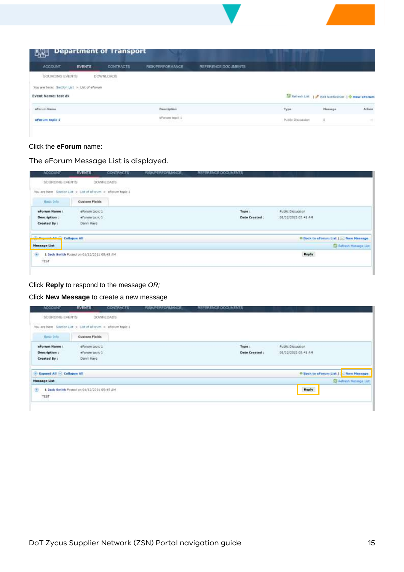| uni                                                                                          |         | <b>Department of Transport</b> |                         |                     |                   |                                                    |        |
|----------------------------------------------------------------------------------------------|---------|--------------------------------|-------------------------|---------------------|-------------------|----------------------------------------------------|--------|
| <b>MCCEX/NT</b>                                                                              | EVENTS. | <b>CONTRACTS</b>               | <b>RISK/PERFORMANCE</b> | REFERENCE DOCUMENTS |                   |                                                    |        |
| <b>BOURCING EVENTS</b><br>You are here: Section List > List of eForum<br>Event Name: test dk |         | DOWNLOADS                      |                         |                     |                   | By Refrink Ltd.   P bot Nonfication   D New ePorum |        |
| A R R R L L R NAME CAL FR. R P.<br><i><b>Affarrum Name</b></i>                               |         |                                | Deportption             |                     | Type              | Hossage                                            | Action |
| aforum topic 1                                                                               |         |                                | whirum tapic 1          |                     | Public Discussion | 见                                                  |        |

#### Click the **eForum** name:

The eForum Message List is displayed.

| <b>ADDIDUNT</b>                                             | <b>EVENTS</b>                              | CONTRACTS:                                                                                                                                                                                                                     | RISK/PERFORMANCE. | REFERENCE DOCUMENTS |                                                  |                                        |
|-------------------------------------------------------------|--------------------------------------------|--------------------------------------------------------------------------------------------------------------------------------------------------------------------------------------------------------------------------------|-------------------|---------------------|--------------------------------------------------|----------------------------------------|
| <b>BOURDING EVENTS</b>                                      |                                            | DOWNLOADS                                                                                                                                                                                                                      |                   |                     |                                                  |                                        |
| You are here Section List > List of eForum > eForum topic 1 |                                            | THE REPORT OF THE REPORT OF THE REPORT OF THE REPORT OF THE REPORT OF THE REPORT OF THE REPORT OF THE REPORT OF THE REPORT OF THE REPORT OF THE REPORT OF THE REPORT OF THE REPORT OF THE REPORT OF THE REPORT OF THE REPORT O |                   |                     |                                                  |                                        |
| <b>Basic time</b>                                           | <b>Custom Fields</b>                       |                                                                                                                                                                                                                                |                   |                     |                                                  |                                        |
| eForum Name                                                 | eForum topic 1                             |                                                                                                                                                                                                                                |                   | Type :              | <b>Public Discussion</b>                         |                                        |
| Description:                                                | efurum topic 1                             |                                                                                                                                                                                                                                |                   | Date Created :      | 01/12/2021 05:41 AM<br>1999   PERSONAL PROVINCIA |                                        |
| Created By :                                                | Danni Kaye                                 |                                                                                                                                                                                                                                |                   |                     |                                                  |                                        |
| <b>CONFIDENTIAL CO</b>                                      | <b>Collapse All</b>                        |                                                                                                                                                                                                                                |                   |                     | * Back to eForum List   New Message              |                                        |
| <b>Message List</b>                                         |                                            |                                                                                                                                                                                                                                |                   |                     |                                                  | <b>SSI</b> Refresh <b>Message List</b> |
| ⊕<br>TEST                                                   | 1 Jack Smith Fosted on 01/12/2021 65:45 AM |                                                                                                                                                                                                                                |                   |                     | Reply                                            |                                        |
|                                                             |                                            |                                                                                                                                                                                                                                |                   |                     |                                                  |                                        |

#### Click **Reply** to respond to the message *OR;*

#### Click **New Message** to create a new message

| <b>ADCIDUNT</b>                                                                                | EVENTS                                                                                                                                                                                                                        | CONTRACTS: | <b>RISK/PERFORMANCE</b> | REFERENCE DOCUMENTS      |                                                                 |                                  |
|------------------------------------------------------------------------------------------------|-------------------------------------------------------------------------------------------------------------------------------------------------------------------------------------------------------------------------------|------------|-------------------------|--------------------------|-----------------------------------------------------------------|----------------------------------|
| <b>BOURDING EVENTS</b>                                                                         |                                                                                                                                                                                                                               | DOWNLOADS  |                         |                          |                                                                 |                                  |
| You are here Section List > List of eForum > eForum topic 1<br>1911 ISBN 19428-81-722-81-700 B | THE REPORT OF A REPORT OF A REPORT OF THE REPORT OF A REPORT OF A REPORT OF A REPORT OF A REPORT OF A REPORT OF THE REPORT OF A REPORT OF A REPORT OF A REPORT OF A REPORT OF A REPORT OF A REPORT OF A REPORT OF A REPORT OF |            |                         |                          |                                                                 |                                  |
| Basic Info                                                                                     | <b>Custom Fields</b>                                                                                                                                                                                                          |            |                         |                          |                                                                 |                                  |
| eForum Name                                                                                    | eForum topic 1                                                                                                                                                                                                                |            |                         | <b>BOOKROOM</b><br>Type: | <b>Public Discussion</b>                                        |                                  |
| Description :                                                                                  | efurum topic 1                                                                                                                                                                                                                |            |                         | Date Created :           | 01/12/2021 05:41 AM<br><b><i>PERMIT RESORT DESIGNATIONS</i></b> |                                  |
| Created By 1                                                                                   | Danni Kaye                                                                                                                                                                                                                    |            |                         |                          |                                                                 |                                  |
| Expand All Collapse All                                                                        |                                                                                                                                                                                                                               |            |                         |                          | * Back to eForum List                                           | New Message                      |
| <b>Message List</b>                                                                            |                                                                                                                                                                                                                               |            |                         |                          |                                                                 | <b>SSI Refresh Thissage List</b> |
| ⊕<br>TEST<br>,,,,,                                                                             | 1 Jack Smith Posted on 01/12/2021 05:45 AM                                                                                                                                                                                    |            |                         |                          | Reply                                                           |                                  |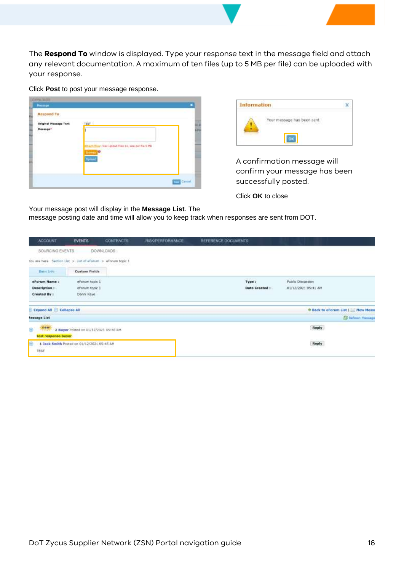The **Respond To** window is displayed. Type your response text in the message field and attach any relevant documentation. A maximum of ten files (up to 5 MB per file) can be uploaded with your response.

Click **Post** to post your message response.

| Respond To:                              |                                                                                                           |  |
|------------------------------------------|-----------------------------------------------------------------------------------------------------------|--|
| <b>Original Message Text</b><br>Message* | THAT<br>.<br>Mar ibitad files 11, sow per file 5 MB<br><b>The Company's Company's Company's Company's</b> |  |
|                                          |                                                                                                           |  |



A confirmation message will confirm your message has been successfully posted.

Click **OK** to close

Your message post will display in the **Message List**. The message posting date and time will allow you to keep track when responses are sent from DOT.

| <b>ACCOUNT</b>                                             | <b>EVENTS</b>                              | <b>CONTRACTS</b> | <b>RISK/PERFORMANCE</b> | REFERENCE DOCUMENTS |                                          |
|------------------------------------------------------------|--------------------------------------------|------------------|-------------------------|---------------------|------------------------------------------|
| SOURCING EVENTS                                            |                                            | DOWNLOADS:       |                         |                     |                                          |
| You are here Section List > Luc of eForum > eForum topic 1 |                                            |                  |                         |                     |                                          |
| <b>Basic Info:</b>                                         | <b>Custom Fields</b>                       |                  |                         |                     |                                          |
| eforum Name:                                               | eforum topic 1                             |                  |                         | Type:               | Public Discussion                        |
| Description :                                              | eForum topic 1                             |                  |                         | Date Created :      | 01/12/2021 05:41 AM                      |
| Created By :                                               | Danni Kaye                                 |                  |                         |                     |                                          |
| Expand All - Collapse All                                  |                                            |                  |                         |                     | <b>♦ Back to eForum List   New Messa</b> |
| <b>Aessage List</b>                                        |                                            |                  |                         |                     | <b>SE Refresh Message</b>                |
| new<br>⊕<br><b>PASS</b>                                    | 2 Buyer Posted on 01/12/2021 05:48 AM      |                  |                         |                     | Reply                                    |
| test response buyer                                        |                                            |                  |                         |                     |                                          |
| 田                                                          | 1 Jack Smith Posted on 01/12/2021 05:45 AM |                  |                         |                     | Reply                                    |
| TEST                                                       |                                            |                  |                         |                     |                                          |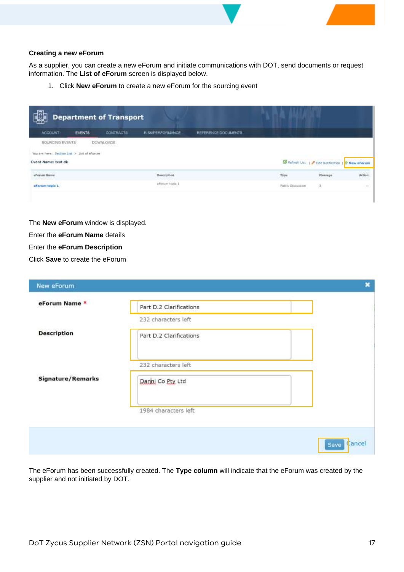#### **Creating a new eForum**

As a supplier, you can create a new eForum and initiate communications with DOT, send documents or request information. The **List of eForum** screen is displayed below.

1. Click **New eForum** to create a new eForum for the sourcing event

| 回<br><b>Department of Transport</b>                                                                                               |               |                                                  |                         |                     |                          |                                      |                         |  |
|-----------------------------------------------------------------------------------------------------------------------------------|---------------|--------------------------------------------------|-------------------------|---------------------|--------------------------|--------------------------------------|-------------------------|--|
| <b>ACCOUNT</b>                                                                                                                    | <b>EVENTS</b> | <b>CONTRACTS</b>                                 | <b>RISK/PERFORMANCE</b> | REFERENCE DOCUMENTS |                          |                                      |                         |  |
| <b>BOURICING EVENTS</b><br>2010년 2010년 2월 2일 2월 2일 2월 2일<br>You are hare: Section List > List of afterving<br>Event Name: test dk |               | DOWNLOADS<br>The State of the State of the State |                         |                     |                          | S Refresh List   P Edit Notification | <sup>O</sup> New eForum |  |
| of orum Name                                                                                                                      |               |                                                  | Description             |                     | <b>Type:</b>             | <b>Hussage</b>                       | Action                  |  |
| aforum topic 1                                                                                                                    |               |                                                  | eferum topic 1          |                     | <b>Public Discussion</b> | Э.                                   | $\frac{1}{2}$           |  |

The **New eForum** window is displayed.

Enter the **eForum Name** details

Enter the **eForum Description**

Click **Save** to create the eForum

| New eForum         |                         | ×              |
|--------------------|-------------------------|----------------|
| eForum Name *      | Part D.2 Clarifications |                |
|                    | 232 characters left     |                |
| <b>Description</b> | Part D.2 Clarifications |                |
|                    | 232 characters left     |                |
| Signature/Remarks  | Danni Co Pty Ltd        |                |
|                    | 1984 characters left    |                |
|                    |                         | Cancel<br>Save |

The eForum has been successfully created. The **Type column** will indicate that the eForum was created by the supplier and not initiated by DOT.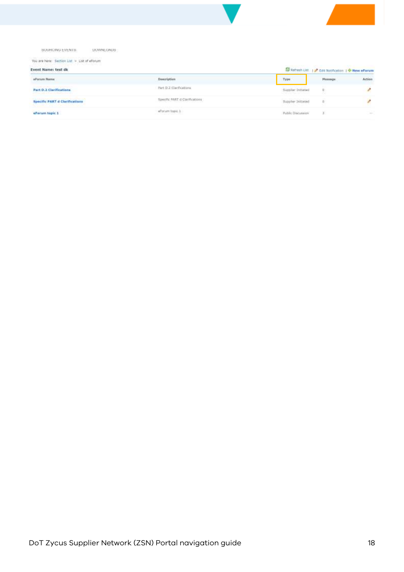#### SUURCING EVENTS: DOWNLOADS

You are here: Section List > List of eForum

| Event Name: test dk                                                                                                                                                                                                                                                                                                       |                                                             | 53 Refresh Ust.   Cdt Nottfication   P New eForum |                |                |  |
|---------------------------------------------------------------------------------------------------------------------------------------------------------------------------------------------------------------------------------------------------------------------------------------------------------------------------|-------------------------------------------------------------|---------------------------------------------------|----------------|----------------|--|
| affectum Mama:                                                                                                                                                                                                                                                                                                            | Description                                                 | Тура                                              | Measupe        | Action         |  |
| and any state of the control of the control of the control of the control of the control of the control of the<br>Second Second Second Second Second Second Second Second Second Second Second Second Second Second Second Second<br>Part D.2 Clarifications<br>the property of the control of the control of the control | Part-D.2 Clarifications                                     | Supplier Initiated<br>work will be a started to   | $\mathbf{u}$   | o              |  |
| Specific PART d Clarifications                                                                                                                                                                                                                                                                                            | Specific FART d Camfications                                | <b>Buppler Initiated</b>                          | $\mathfrak{g}$ |                |  |
| eForum topic 1                                                                                                                                                                                                                                                                                                            | efforum topic 1<br>and the company's state of the company's | <b>Public Discussion</b>                          |                | <b>SECTION</b> |  |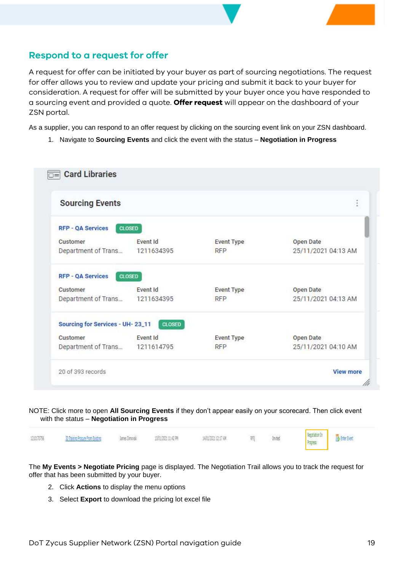### <span id="page-18-0"></span>**Respond to a request for offer**

A request for offer can be initiated by your buyer as part of sourcing negotiations. The request for offer allows you to review and update your pricing and submit it back to your buyer for consideration. A request for offer will be submitted by your buyer once you have responded to a sourcing event and provided a quote. **Offer request** will appear on the dashboard of your ZSN portal.

As a supplier, you can respond to an offer request by clicking on the sourcing event link on your ZSN dashboard.

1. Navigate to **Sourcing Events** and click the event with the status – **Negotiation in Progress**

| <b>Sourcing Events</b>           |                 |                   |                     |
|----------------------------------|-----------------|-------------------|---------------------|
| <b>RFP - OA Services</b>         | <b>CLOSED</b>   |                   |                     |
| Customer                         | <b>Event Id</b> | <b>Event Type</b> | Open Date           |
| Department of Trans 1211634395   |                 | <b>RFP</b>        | 25/11/2021 04:13 AM |
| <b>RFP - QA Services</b>         | <b>CLOSED</b>   |                   |                     |
| Customer                         | Event Id        | <b>Event Type</b> | Open Date           |
| Department of Trans              | 1211634395      | <b>RFP</b>        | 25/11/2021 04:13 AM |
| Sourcing for Services - UH-23_11 | <b>CLOSED</b>   |                   |                     |
| Customer                         | <b>Fvent Id</b> | <b>Event Type</b> | Open Date           |
| Department of Trans 1211614795   |                 | <b>RFP</b>        | 25/11/2021 04:10 AM |

#### NOTE: Click more to open **All Sourcing Events** if they don't appear easily on your scorecard. Then click event with the status – **Negotiation in Progress**

Negotiation In **B** Erter Bent 1203756 30 Training Procure From Existing 线线的主要 14107821217 AM lane: Tennels 罰 Inited Frages

The **My Events > Negotiate Pricing** page is displayed. The Negotiation Trail allows you to track the request for offer that has been submitted by your buyer.

- 2. Click **Actions** to display the menu options
- 3. Select **Export** to download the pricing lot excel file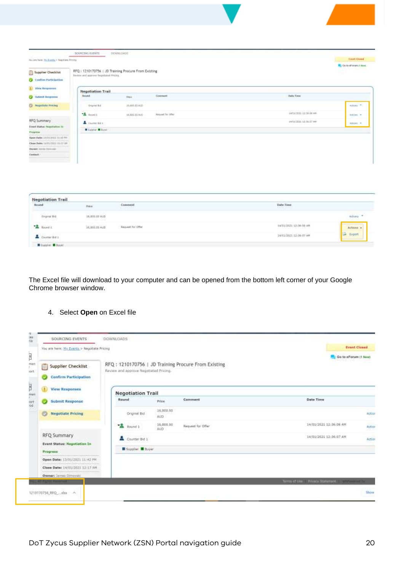| You are hore: the Ecenta + Negotiana Pitches                  |                                                                                              |                |                   |                          | <b>Event Queen</b>               |
|---------------------------------------------------------------|----------------------------------------------------------------------------------------------|----------------|-------------------|--------------------------|----------------------------------|
| Supplier Checklist<br>Confirm Portfolgother                   | RFQ: 1210170756   JD Training Procure From Existing<br>lik-for and approva bigobanal PHOto). |                |                   |                          | <b>P.</b> Guita of town college. |
| View Responses                                                | <b>Negotiation Trail</b>                                                                     |                |                   |                          |                                  |
| Schreit Amprover                                              | <b>Reind</b>                                                                                 | in.            | Constant          | <b>Date Times</b>        |                                  |
| <b>CO Regotiate Pricing</b>                                   | Organized.                                                                                   | 35.695.93 ALC: |                   |                          | Actual TV                        |
|                                                               | "A testi                                                                                     | 14,882.00 AUD  | Inquest for other | 14/01/2021 12:56:06 AM   | Adone #<br><b>Section</b>        |
| <b>RFQ Summary</b>                                            | A Carminico                                                                                  |                |                   | swouldoor sit in its ow- | ASSN 7                           |
| Event Status: Nugotiation 34<br><b>BAC ANTIBE</b><br>Fregress | Wilson Wilson                                                                                |                |                   |                          |                                  |
| Open Date: 2010/2022 21:42 NV                                 |                                                                                              |                |                   |                          |                                  |
| Clear Dollar (4/31/1971) 23-17-68                             |                                                                                              |                |                   |                          |                                  |
| Dietert Jenni (Scoutt)                                        |                                                                                              |                |                   |                          |                                  |
| Castact:                                                      |                                                                                              |                |                   |                          |                                  |

| <b>STATISTICS</b><br>Round | $\tau_{\rm HII}$  | Ennement<br>h lotavité in | Date Time                                                       |             |
|----------------------------|-------------------|---------------------------|-----------------------------------------------------------------|-------------|
| Organi Bid                 | $14,816.18\pm0.0$ |                           |                                                                 | 44000       |
| <b>A</b> Round L           | 36,800.00 AUD     | Request for Offer         | -200<br>14/01/2021 12:36:06 AM<br><b>PARTNERS IN STATISTICS</b> | Actions     |
| Course Bd 1                |                   |                           | 14/01/2021 12:16:07:48                                          | Espart<br>÷ |

The Excel file will download to your computer and can be opened from the bottom left corner of your Google Chrome browser window.

#### 4. Select **Open** on Excel file

| You are here: Ny Events > Nepotiate Pricing |                               |                                                                                        |                                                      |               |
|---------------------------------------------|-------------------------------|----------------------------------------------------------------------------------------|------------------------------------------------------|---------------|
|                                             |                               |                                                                                        | Go to eForum (1 New).                                |               |
|                                             |                               |                                                                                        |                                                      |               |
|                                             |                               |                                                                                        |                                                      |               |
| Round                                       | Prizat                        | Comment                                                                                | Date Time:                                           |               |
| Original Bid                                | 16,800.00<br>AUD              |                                                                                        |                                                      | <b>Action</b> |
| vR.<br>Round 1                              | 16,000.00<br>AUD <sup>1</sup> | <b>Request for Office</b><br>متووي                                                     | 14/01/2021 12:36:06 AM                               | Action<br>eг  |
| Counter Bid 1                               |                               |                                                                                        | 14/01/2021 12:36:07 AM                               | <b>Action</b> |
|                                             |                               |                                                                                        |                                                      |               |
|                                             |                               |                                                                                        |                                                      |               |
|                                             |                               |                                                                                        |                                                      |               |
|                                             |                               |                                                                                        |                                                      |               |
|                                             |                               | Review and approve Negotiated Pricing.<br><b>Negotiation Trail</b><br>Supplier B Boyer | RFQ: 1210170756.   JD Training Procure From Existing |               |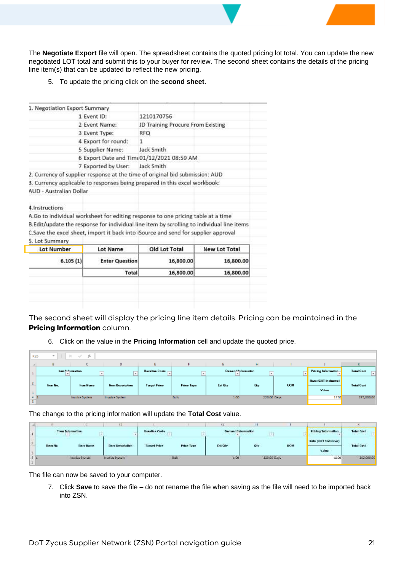The **Negotiate Export** file will open. The spreadsheet contains the quoted pricing lot total. You can update the new negotiated LOT total and submit this to your buyer for review. The second sheet contains the details of the pricing line item(s) that can be updated to reflect the new pricing.

5. To update the pricing click on the **second sheet**.

|                                | Total                         | 16,800.00                                                                                 | 16,800.00            |
|--------------------------------|-------------------------------|-------------------------------------------------------------------------------------------|----------------------|
| 6.105(1)                       | <b>Enter Question</b>         | 16,800.00                                                                                 | 16,800.00            |
| <b>Lot Number</b>              | <b>Lot Name</b>               | Old Lot Total                                                                             | <b>New Lot Total</b> |
| 5. Lot Summary                 |                               |                                                                                           |                      |
|                                |                               | C.Save the excel sheet, import it back into iSource and send for supplier approval        |                      |
|                                |                               | B.Edit/update the response for individual line item by scrolling to individual line items |                      |
|                                |                               | A.Go to individual worksheet for editing response to one pricing table at a time          |                      |
| 4. Instructions                |                               |                                                                                           |                      |
| <b>AUD - Australian Dollar</b> |                               |                                                                                           |                      |
|                                |                               | 3. Currency applicable to responses being prepared in this excel workbook:                |                      |
|                                |                               | 2. Currency of supplier response at the time of original bid submission: AUD              |                      |
|                                | 7 Exported by User:           | Jack Smith                                                                                |                      |
|                                |                               | 6 Export Date and Time 01/12/2021 08:59 AM                                                |                      |
|                                | 5 Supplier Name:              | Jack Smith                                                                                |                      |
|                                | 4 Export for round:           | 1                                                                                         |                      |
|                                | 3 Event Type:                 | <b>RFQ</b>                                                                                |                      |
|                                | 2 Event Name:                 | JD Training Procure From Existing                                                         |                      |
|                                | 1 Event ID:                   | 1210170756                                                                                |                      |
|                                | 1. Negotiation Export Summary |                                                                                           |                      |

The second sheet will display the pricing line item details. Pricing can be maintained in the **Pricing Information** column.

6. Click on the value in the **Pricing Information** cell and update the quoted price.

| K25                    | $\mathcal{L}$     | $\mathbf{1} \times \mathbf{1}$                     |                         |                       |            |          |                                       |            |                             |                           |
|------------------------|-------------------|----------------------------------------------------|-------------------------|-----------------------|------------|----------|---------------------------------------|------------|-----------------------------|---------------------------|
|                        | в                 |                                                    | D                       |                       |            | G        | н                                     |            |                             |                           |
|                        |                   | <b>kem !- formation</b><br>$\frac{1}{2}$<br>$\sim$ |                         | <b>Bareline Costs</b> | __         |          | Deman <sup>43</sup> sformation<br>___ |            | Pricing Information-        | <b>Total Coat</b><br>$-1$ |
| 2                      | <b>Borns No.,</b> | <b>Here Market</b>                                 | <b>Item Description</b> | <b>Target Price</b>   |            | Est Gis- | <b>Co</b>                             | <b>UOM</b> | <b>Rate IDST Includivel</b> | <b>Total Cost</b>         |
| $\overline{3}$         |                   |                                                    |                         |                       | Price Type |          |                                       |            | Madon 1                     |                           |
| $\overline{A}$<br>- 51 |                   | <b>Involce System</b>                              | Invoice System          |                       | Bulk       | 1.00     | 220.00 Days                           |            | 1250                        | 275,000.00                |

The change to the pricing information will update the **Total Cost** value.

|   | <b>CONTRACTOR</b> | <b>Then Information</b><br>여 124,26                          | .                     | <b>Basellan Costs</b> |            | Demand Information<br>the company of the company of the com- | IJ,<br>$\sim$ 1 |             | <b>Pricing Information</b>   | Tatel Cost<br>22223032                                      |
|---|-------------------|--------------------------------------------------------------|-----------------------|-----------------------|------------|--------------------------------------------------------------|-----------------|-------------|------------------------------|-------------------------------------------------------------|
|   | <b>Ban No.</b>    | <b><i><u>ALLEN A. A. A. A.</u></i></b><br><b>Diece Norme</b> | Diers Description     | <b>Torpel Price</b>   |            | Ext Qty                                                      |                 | нои         | <b>Ratio (GST Inclusive)</b> | <b>STATISTICS IN THE REAL PROPERTY</b><br><b>Tatel Cost</b> |
| Ξ |                   |                                                              |                       |                       | Price Type |                                                              | Qty             |             | Value                        |                                                             |
|   |                   | Invoice System                                               | <b>Investa System</b> |                       | Bulk       | 1.00                                                         |                 | 220.00 Days | <b>CALCULATION</b><br>1100   | 242,000.00                                                  |

The file can now be saved to your computer.

7. Click **Save** to save the file – do not rename the file when saving as the file will need to be imported back into ZSN.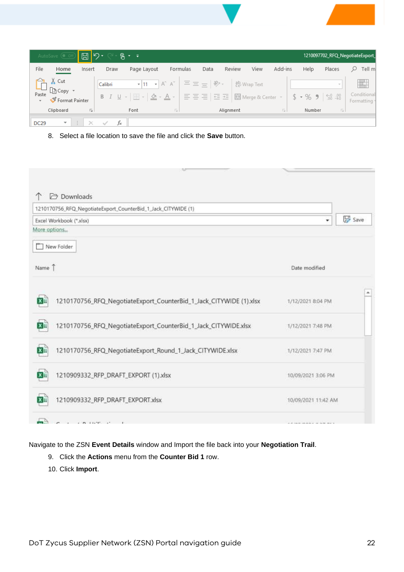|                                             | AutoSave (OOff)                                     | $\boxed{\boxtimes}$ り・ |                                                                                                                       | $B - 1$                                                |                                                                                                  |                                  |           |             |         |                             |             | 1210097702_RFQ_NegotiateExport_ |
|---------------------------------------------|-----------------------------------------------------|------------------------|-----------------------------------------------------------------------------------------------------------------------|--------------------------------------------------------|--------------------------------------------------------------------------------------------------|----------------------------------|-----------|-------------|---------|-----------------------------|-------------|---------------------------------|
| File                                        | Home                                                | Insert                 | Draw                                                                                                                  | Page Layout                                            | Formulas                                                                                         | Data                             | Review    | View        | Add-ins | Help                        | Places      | Tell m                          |
| $\Box$<br>Paste<br>$\overline{\phantom{a}}$ | $\chi$ Cut<br>ि Copy<br>Format Painter<br>Clipboard | 反。                     | Calibri<br>$\begin{array}{ccccc} \mathsf{B} & I & \underline{\mathsf{U}} & \mathsf{\scriptscriptstyle v} \end{array}$ | $\boxed{m}$ - $\boxed{\Delta}$ - $\boxed{A}$ -<br>Font | $\mathbf{F}$ 11 $\mathbf{F}$ A^ A <sup>*</sup> $\vert \equiv \equiv \pm \vert \psi \rangle$<br>反 | 틀 틀 블   트 포   圓 Merge & Center * | Alignment | ゃ Wrap Text | 反       | $$ -  \%$ 9 6 - 0<br>Number | $\sim$<br>反 | Conditional<br>Formatting *     |
|                                             |                                                     |                        |                                                                                                                       |                                                        |                                                                                                  |                                  |           |             |         |                             |             |                                 |
| <b>DC29</b>                                 | $\overline{\mathbf{v}}$                             | ÷<br>$\mathbb{X}$      | fx                                                                                                                    |                                                        |                                                                                                  |                                  |           |             |         |                             |             |                                 |

8. Select a file location to save the file and click the **Save** button.

| <b>Downloads</b><br>1210170756_RFQ_NegotiateExport_CounterBid_1_Jack_CITYWIDE (1) |                    |
|-----------------------------------------------------------------------------------|--------------------|
| Excel Workbook (*.xlsx)<br>More options                                           | Save<br>٠          |
| New Folder                                                                        |                    |
| Name 1                                                                            | Date modified      |
|                                                                                   |                    |
| 1210170756_RFQ_NegotiateExport_CounterBid_1_Jack_CITYWIDE (1).xlsx                | 1/12/2021 8:04 PM  |
| ×⊞<br>1210170756_RFQ_NegotiateExport_CounterBid_1_Jack_CITYWIDE.xlsx<br>×≣        | 1/12/2021 7:48 PM  |
| 1210170756_RFQ_NegotiateExport_Round_1_Jack_CITYWIDE.xlsx<br>×⊞                   | 1/12/2021 7:47 PM  |
| 1210909332_RFP_DRAFT_EXPORT (1).xlsx<br>$x \equiv$                                | 10/09/2021 3:06 PM |

Navigate to the ZSN **Event Details** window and Import the file back into your **Negotiation Trail**.

- 9. Click the **Actions** menu from the **Counter Bid 1** row.
- 10. Click **Import**.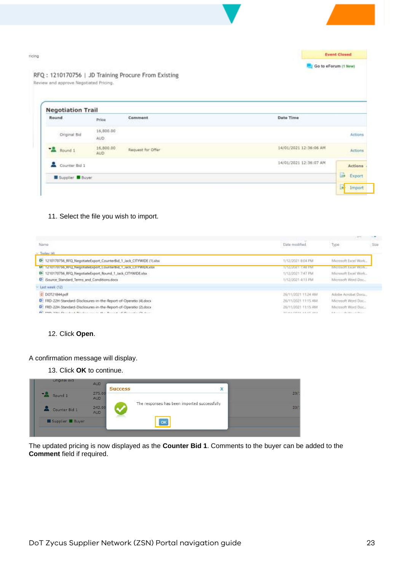|                                        |                   |                                                     |                      | <b>Event Closed</b> |
|----------------------------------------|-------------------|-----------------------------------------------------|----------------------|---------------------|
| Review and approve Negotiated Pricing. |                   | RFQ: 1210170756   JD Training Procure From Existing | Go to eForum (1 New) |                     |
| <b>Negotiation Trail</b>               |                   |                                                     |                      |                     |
| Round                                  | Price             | Date Time<br>Comment                                |                      |                     |
| Original Bid                           | 16,900.00<br>AUD. |                                                     |                      | Actions             |
| Round 1                                | 16,800.00<br>AUD  | 14/01/2021 12:36:06 AM<br>Request for Offer         |                      | Actions             |
| Counter Bid 1                          |                   | 14/01/2021 12:36:07 AM                              |                      | Actions             |
|                                        |                   |                                                     |                      | E.                  |

#### 11. Select the file you wish to import.

| Name                                                                              | Data modified                         | Type                                            | 209 |
|-----------------------------------------------------------------------------------|---------------------------------------|-------------------------------------------------|-----|
| Teylow (d)                                                                        |                                       |                                                 |     |
| E 1210170756_RFQ_NegotiateExport_CounterBid_1_Jack_CITYWIDE (1).xlsx              | 1/12/2021 8:04 PM                     | Microsoft Excel Wark                            |     |
| M: 1210170756_RFQ_NegotiateExport_CounterBid_1_Jack_CITYWIDE.xlsx                 | 1/12/2021 7:48 FM                     | Microsoft Excel Work                            |     |
| Di 1210170756_RFQ_NegotiateExport_Round_1_Jack_CITYWIDExIsx                       | 1/12/2021 7:47 PM                     | Alternauft Excel Work                           |     |
| <sup>(3)</sup> ISource Standard Terms and Conditions.docx                         | 1/12/2021 4:13 PM                     | Microsoft Word-Doc.;                            |     |
| Last week (12)                                                                    |                                       |                                                 |     |
| E DOT21844 pdf                                                                    | 26/11/2021 11:24 AM                   | Adobe Acrobat Docta.                            |     |
| P FRD-22H-Standard-Disclosures-in-the-Report-of-Operatio (4) docs                 | 26/11/2021 11:15 AM                   | Microsoft Word Dac                              |     |
| D. FRD-22H-Standard-Disclosures-in-the-Report-of-Operatio (2) docs                | 26/11/2021 11:15 AM                   | Microsoft Word Doc.,                            |     |
| procedured the colored this statement to add the colored of Statements the dealer | that an a visitory a straight was at- | A Reference of a play that is a significant and |     |
|                                                                                   |                                       |                                                 |     |

#### 12. Click **Open**.

A confirmation message will display.

13. Click **OK** to continue.



The updated pricing is now displayed as the **Counter Bid 1**. Comments to the buyer can be added to the **Comment** field if required.